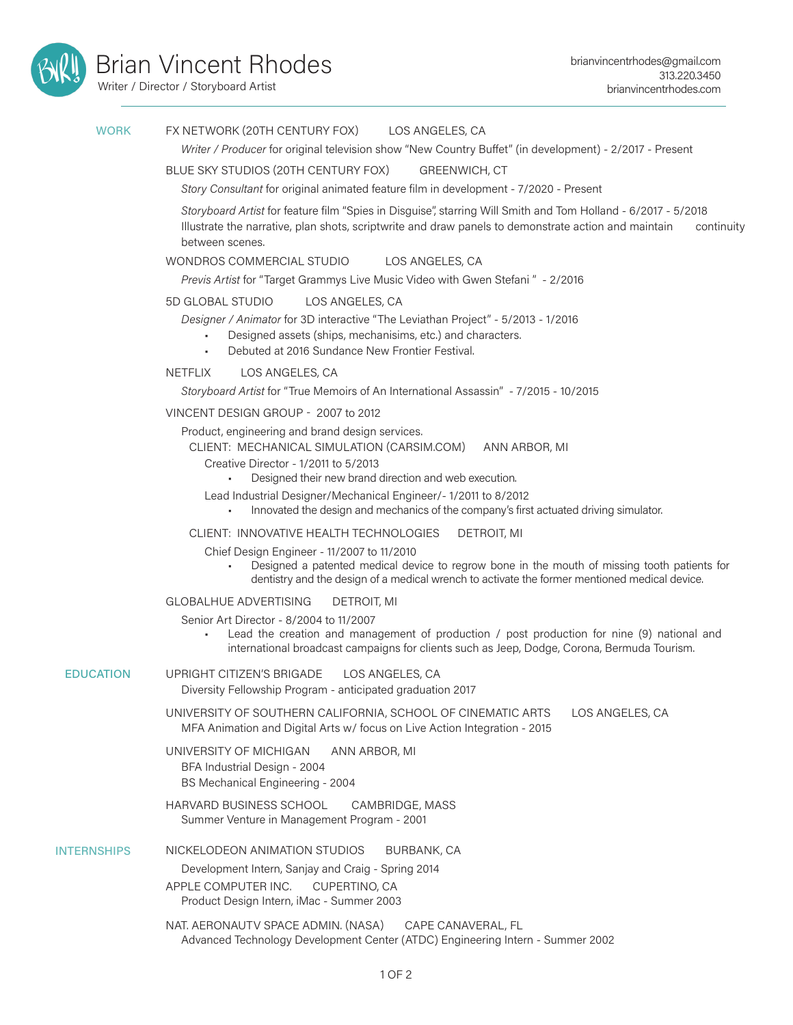

Writer / Director / Storyboard Artist

### FX NETWORK (20TH CENTURY FOX) LOS ANGELES, CA **WORK**

*Writer / Producer* for original television show "New Country Buffet" (in development) - 2/2017 - Present

### BLUE SKY STUDIOS (20TH CENTURY FOX) GREENWICH, CT

*Story Consultant* for original animated feature film in development - 7/2020 - Present

*Storyboard Artist* for feature film "Spies in Disguise", starring Will Smith and Tom Holland - 6/2017 - 5/2018 Illustrate the narrative, plan shots, scriptwrite and draw panels to demonstrate action and maintain continuity between scenes.

### WONDROS COMMERCIAL STUDIO LOS ANGELES, CA

*Previs Artist* for "Target Grammys Live Music Video with Gwen Stefani " - 2/2016

### 5D GLOBAL STUDIO LOS ANGELES, CA

*Designer / Animator* for 3D interactive "The Leviathan Project" - 5/2013 - 1/2016

• Designed assets (ships, mechanisims, etc.) and characters.

• Debuted at 2016 Sundance New Frontier Festival.

NETFLIX LOS ANGELES, CA

*Storyboard Artist* for "True Memoirs of An International Assassin" - 7/2015 - 10/2015

### VINCENT DESIGN GROUP - 2007 to 2012

Product, engineering and brand design services.

CLIENT: MECHANICAL SIMULATION (CARSIM.COM) ANN ARBOR, MI

- Creative Director 1/2011 to 5/2013
	- Designed their new brand direction and web execution.

Lead Industrial Designer/Mechanical Engineer/- 1/2011 to 8/2012

• Innovated the design and mechanics of the company's first actuated driving simulator.

### CLIENT: INNOVATIVE HEALTH TECHNOLOGIES DETROIT, MI

- Chief Design Engineer 11/2007 to 11/2010
	- Designed a patented medical device to regrow bone in the mouth of missing tooth patients for dentistry and the design of a medical wrench to activate the former mentioned medical device.

### GLOBALHUE ADVERTISING DETROIT, MI

Senior Art Director - 8/2004 to 11/2007

Lead the creation and management of production / post production for nine (9) national and international broadcast campaigns for clients such as Jeep, Dodge, Corona, Bermuda Tourism.

#### UPRIGHT CITIZEN'S BRIGADE LOS ANGELES, CA Diversity Fellowship Program - anticipated graduation 2017 EDUCATION

UNIVERSITY OF SOUTHERN CALIFORNIA, SCHOOL OF CINEMATIC ARTS LOS ANGELES, CA MFA Animation and Digital Arts w/ focus on Live Action Integration - 2015

UNIVERSITY OF MICHIGAN ANN ARBOR, MI BFA Industrial Design - 2004 BS Mechanical Engineering - 2004

## HARVARD BUSINESS SCHOOL CAMBRIDGE, MASS Summer Venture in Management Program - 2001

## INTERNSHIPS NICKELODEON ANIMATION STUDIOS BURBANK, CA

Development Intern, Sanjay and Craig - Spring 2014 APPLE COMPUTER INC. CUPERTINO, CA Product Design Intern, iMac - Summer 2003

NAT. AERONAUTV SPACE ADMIN. (NASA) CAPE CANAVERAL, FL Advanced Technology Development Center (ATDC) Engineering Intern - Summer 2002